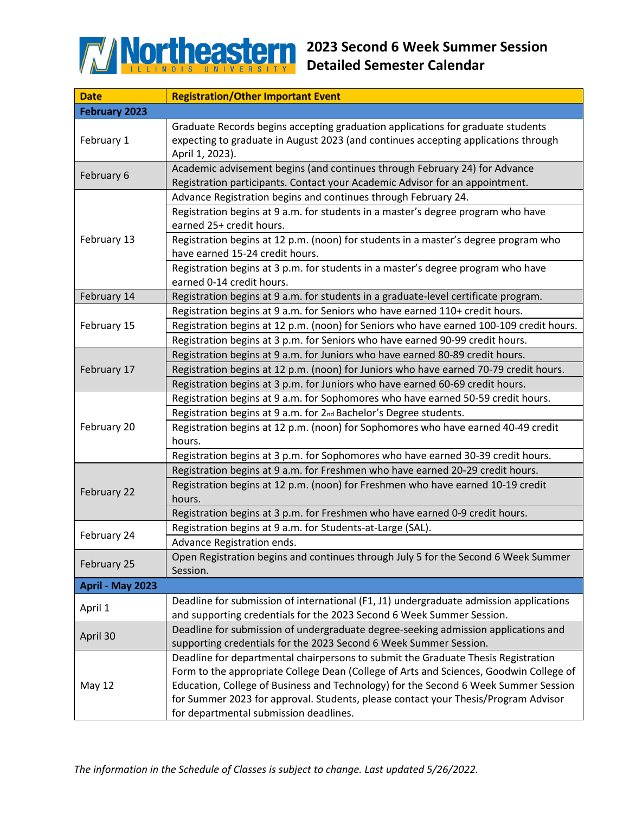

| <b>Date</b>          | <b>Registration/Other Important Event</b>                                                                                                                                                                                                                                                                                                                                                          |
|----------------------|----------------------------------------------------------------------------------------------------------------------------------------------------------------------------------------------------------------------------------------------------------------------------------------------------------------------------------------------------------------------------------------------------|
| <b>February 2023</b> |                                                                                                                                                                                                                                                                                                                                                                                                    |
| February 1           | Graduate Records begins accepting graduation applications for graduate students<br>expecting to graduate in August 2023 (and continues accepting applications through<br>April 1, 2023).                                                                                                                                                                                                           |
| February 6           | Academic advisement begins (and continues through February 24) for Advance<br>Registration participants. Contact your Academic Advisor for an appointment.                                                                                                                                                                                                                                         |
| February 13          | Advance Registration begins and continues through February 24.<br>Registration begins at 9 a.m. for students in a master's degree program who have<br>earned 25+ credit hours.<br>Registration begins at 12 p.m. (noon) for students in a master's degree program who<br>have earned 15-24 credit hours.<br>Registration begins at 3 p.m. for students in a master's degree program who have       |
| February 14          | earned 0-14 credit hours.                                                                                                                                                                                                                                                                                                                                                                          |
| February 15          | Registration begins at 9 a.m. for students in a graduate-level certificate program.<br>Registration begins at 9 a.m. for Seniors who have earned 110+ credit hours.<br>Registration begins at 12 p.m. (noon) for Seniors who have earned 100-109 credit hours.<br>Registration begins at 3 p.m. for Seniors who have earned 90-99 credit hours.                                                    |
| February 17          | Registration begins at 9 a.m. for Juniors who have earned 80-89 credit hours.<br>Registration begins at 12 p.m. (noon) for Juniors who have earned 70-79 credit hours.<br>Registration begins at 3 p.m. for Juniors who have earned 60-69 credit hours.                                                                                                                                            |
| February 20          | Registration begins at 9 a.m. for Sophomores who have earned 50-59 credit hours.<br>Registration begins at 9 a.m. for 2nd Bachelor's Degree students.<br>Registration begins at 12 p.m. (noon) for Sophomores who have earned 40-49 credit<br>hours.<br>Registration begins at 3 p.m. for Sophomores who have earned 30-39 credit hours.                                                           |
| February 22          | Registration begins at 9 a.m. for Freshmen who have earned 20-29 credit hours.<br>Registration begins at 12 p.m. (noon) for Freshmen who have earned 10-19 credit<br>hours.<br>Registration begins at 3 p.m. for Freshmen who have earned 0-9 credit hours.                                                                                                                                        |
| February 24          | Registration begins at 9 a.m. for Students-at-Large (SAL).<br>Advance Registration ends.                                                                                                                                                                                                                                                                                                           |
| February 25          | Open Registration begins and continues through July 5 for the Second 6 Week Summer<br>Session.                                                                                                                                                                                                                                                                                                     |
| April - May 2023     |                                                                                                                                                                                                                                                                                                                                                                                                    |
| April 1              | Deadline for submission of international (F1, J1) undergraduate admission applications<br>and supporting credentials for the 2023 Second 6 Week Summer Session.                                                                                                                                                                                                                                    |
| April 30             | Deadline for submission of undergraduate degree-seeking admission applications and<br>supporting credentials for the 2023 Second 6 Week Summer Session.                                                                                                                                                                                                                                            |
| <b>May 12</b>        | Deadline for departmental chairpersons to submit the Graduate Thesis Registration<br>Form to the appropriate College Dean (College of Arts and Sciences, Goodwin College of<br>Education, College of Business and Technology) for the Second 6 Week Summer Session<br>for Summer 2023 for approval. Students, please contact your Thesis/Program Advisor<br>for departmental submission deadlines. |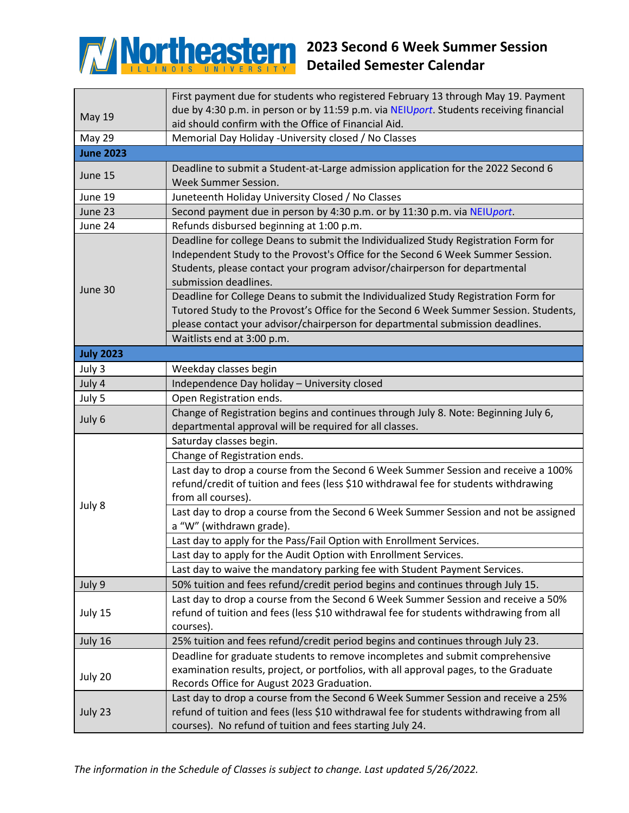

## **2023 Second 6 Week Summer Session Detailed Semester Calendar**

|                  | First payment due for students who registered February 13 through May 19. Payment      |  |
|------------------|----------------------------------------------------------------------------------------|--|
| <b>May 19</b>    | due by 4:30 p.m. in person or by 11:59 p.m. via NEIUport. Students receiving financial |  |
|                  | aid should confirm with the Office of Financial Aid.                                   |  |
| <b>May 29</b>    | Memorial Day Holiday -University closed / No Classes                                   |  |
| <b>June 2023</b> |                                                                                        |  |
| June 15          | Deadline to submit a Student-at-Large admission application for the 2022 Second 6      |  |
|                  | Week Summer Session.                                                                   |  |
| June 19          | Juneteenth Holiday University Closed / No Classes                                      |  |
| June 23          | Second payment due in person by 4:30 p.m. or by 11:30 p.m. via NEIUport.               |  |
| June 24          | Refunds disbursed beginning at 1:00 p.m.                                               |  |
| June 30          | Deadline for college Deans to submit the Individualized Study Registration Form for    |  |
|                  | Independent Study to the Provost's Office for the Second 6 Week Summer Session.        |  |
|                  | Students, please contact your program advisor/chairperson for departmental             |  |
|                  | submission deadlines.                                                                  |  |
|                  | Deadline for College Deans to submit the Individualized Study Registration Form for    |  |
|                  | Tutored Study to the Provost's Office for the Second 6 Week Summer Session. Students,  |  |
|                  | please contact your advisor/chairperson for departmental submission deadlines.         |  |
|                  | Waitlists end at 3:00 p.m.                                                             |  |
| <b>July 2023</b> |                                                                                        |  |
| July 3           | Weekday classes begin                                                                  |  |
| July 4           | Independence Day holiday - University closed                                           |  |
| July 5           | Open Registration ends.                                                                |  |
|                  | Change of Registration begins and continues through July 8. Note: Beginning July 6,    |  |
| July 6           | departmental approval will be required for all classes.                                |  |
|                  | Saturday classes begin.                                                                |  |
|                  | Change of Registration ends.                                                           |  |
|                  | Last day to drop a course from the Second 6 Week Summer Session and receive a 100%     |  |
|                  | refund/credit of tuition and fees (less \$10 withdrawal fee for students withdrawing   |  |
| July 8           | from all courses).                                                                     |  |
|                  | Last day to drop a course from the Second 6 Week Summer Session and not be assigned    |  |
|                  | a "W" (withdrawn grade).                                                               |  |
|                  | Last day to apply for the Pass/Fail Option with Enrollment Services.                   |  |
|                  | Last day to apply for the Audit Option with Enrollment Services.                       |  |
|                  | Last day to waive the mandatory parking fee with Student Payment Services.             |  |
| July 9           | 50% tuition and fees refund/credit period begins and continues through July 15.        |  |
| July 15          | Last day to drop a course from the Second 6 Week Summer Session and receive a 50%      |  |
|                  | refund of tuition and fees (less \$10 withdrawal fee for students withdrawing from all |  |
|                  | courses).                                                                              |  |
| July 16          | 25% tuition and fees refund/credit period begins and continues through July 23.        |  |
|                  | Deadline for graduate students to remove incompletes and submit comprehensive          |  |
| July 20          | examination results, project, or portfolios, with all approval pages, to the Graduate  |  |
|                  | Records Office for August 2023 Graduation.                                             |  |
| July 23          | Last day to drop a course from the Second 6 Week Summer Session and receive a 25%      |  |
|                  | refund of tuition and fees (less \$10 withdrawal fee for students withdrawing from all |  |
|                  | courses). No refund of tuition and fees starting July 24.                              |  |